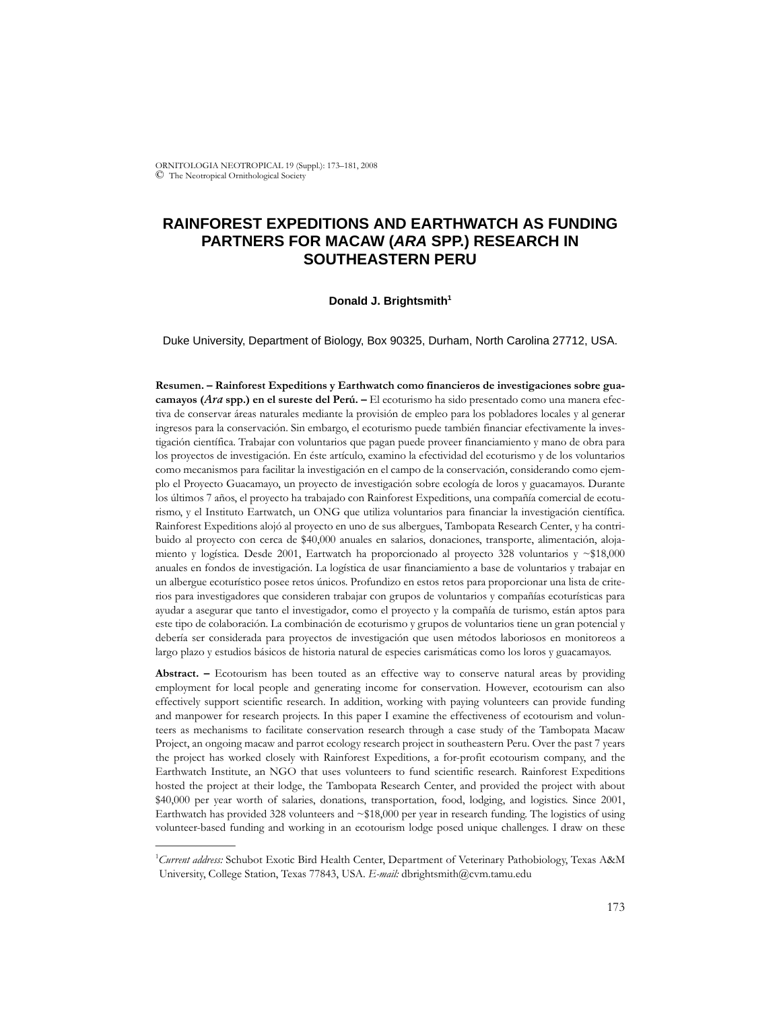ORNITOLOGIA NEOTROPICAL 19 (Suppl.): 173–181, 2008 © The Neotropical Ornithological Society

# **RAINFOREST EXPEDITIONS AND EARTHWATCH AS FUNDING PARTNERS FOR MACAW (***ARA* **SPP.) RESEARCH IN SOUTHEASTERN PERU**

### Donald J. Brightsmith<sup>1</sup>

Duke University, Department of Biology, Box 90325, Durham, North Carolina 27712, USA.

**Resumen. – Rainforest Expeditions y Earthwatch como financieros de investigaciones sobre guacamayos (***Ara* **spp.) en el sureste del Perú. –** El ecoturismo ha sido presentado como una manera efectiva de conservar áreas naturales mediante la provisión de empleo para los pobladores locales y al generar ingresos para la conservación. Sin embargo, el ecoturismo puede también financiar efectivamente la investigación científica. Trabajar con voluntarios que pagan puede proveer financiamiento y mano de obra para los proyectos de investigación. En éste artículo, examino la efectividad del ecoturismo y de los voluntarios como mecanismos para facilitar la investigación en el campo de la conservación, considerando como ejemplo el Proyecto Guacamayo, un proyecto de investigación sobre ecología de loros y guacamayos. Durante los últimos 7 años, el proyecto ha trabajado con Rainforest Expeditions, una compañía comercial de ecoturismo, y el Instituto Eartwatch, un ONG que utiliza voluntarios para financiar la investigación científica. Rainforest Expeditions alojó al proyecto en uno de sus albergues, Tambopata Research Center, y ha contribuido al proyecto con cerca de \$40,000 anuales en salarios, donaciones, transporte, alimentación, alojamiento y logística. Desde 2001, Eartwatch ha proporcionado al proyecto 328 voluntarios y ~\$18,000 anuales en fondos de investigación. La logística de usar financiamiento a base de voluntarios y trabajar en un albergue ecoturístico posee retos únicos. Profundizo en estos retos para proporcionar una lista de criterios para investigadores que consideren trabajar con grupos de voluntarios y compañías ecoturísticas para ayudar a asegurar que tanto el investigador, como el proyecto y la compañía de turismo, están aptos para este tipo de colaboración. La combinación de ecoturismo y grupos de voluntarios tiene un gran potencial y debería ser considerada para proyectos de investigación que usen métodos laboriosos en monitoreos a largo plazo y estudios básicos de historia natural de especies carismáticas como los loros y guacamayos.

Abstract. – Ecotourism has been touted as an effective way to conserve natural areas by providing employment for local people and generating income for conservation. However, ecotourism can also effectively support scientific research. In addition, working with paying volunteers can provide funding and manpower for research projects. In this paper I examine the effectiveness of ecotourism and volunteers as mechanisms to facilitate conservation research through a case study of the Tambopata Macaw Project, an ongoing macaw and parrot ecology research project in southeastern Peru. Over the past 7 years the project has worked closely with Rainforest Expeditions, a for-profit ecotourism company, and the Earthwatch Institute, an NGO that uses volunteers to fund scientific research. Rainforest Expeditions hosted the project at their lodge, the Tambopata Research Center, and provided the project with about \$40,000 per year worth of salaries, donations, transportation, food, lodging, and logistics. Since 2001, Earthwatch has provided 328 volunteers and ~\$18,000 per year in research funding. The logistics of using volunteer-based funding and working in an ecotourism lodge posed unique challenges. I draw on these

\_\_\_\_\_\_\_\_\_\_\_\_\_\_

<sup>&</sup>lt;sup>1</sup>Current address: Schubot Exotic Bird Health Center, Department of Veterinary Pathobiology, Texas A&M University, College Station, Texas 77843, USA. *E-mail:* dbrightsmith@cvm.tamu.edu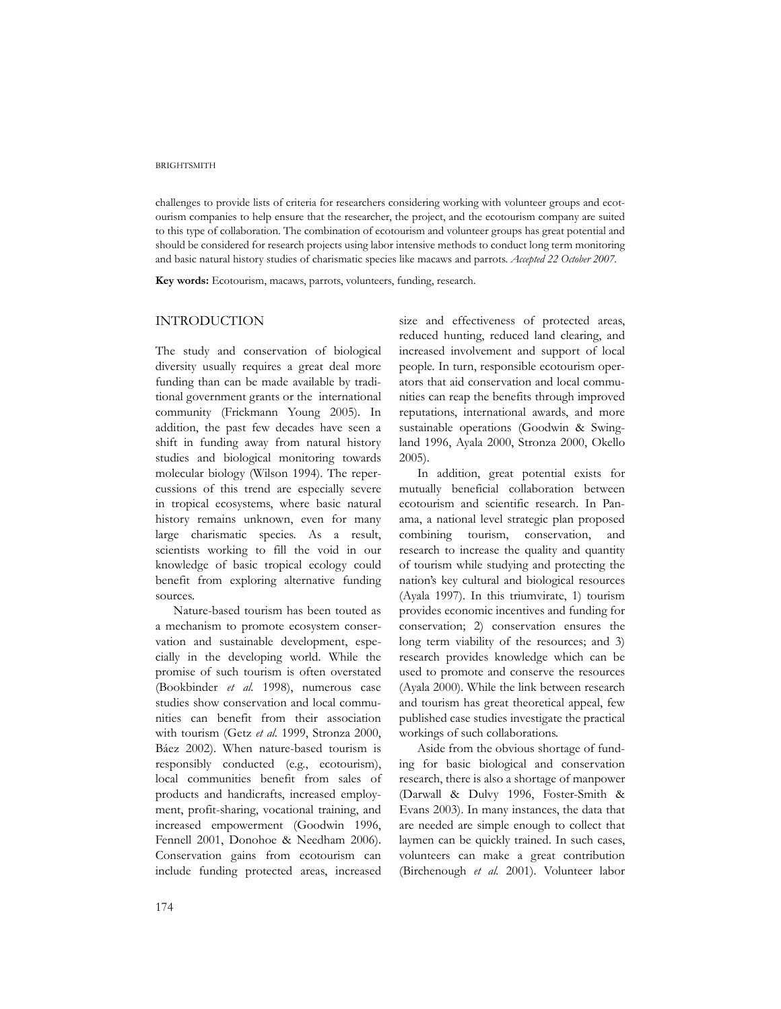#### **BRIGHTSMITH**

challenges to provide lists of criteria for researchers considering working with volunteer groups and ecotourism companies to help ensure that the researcher, the project, and the ecotourism company are suited to this type of collaboration. The combination of ecotourism and volunteer groups has great potential and should be considered for research projects using labor intensive methods to conduct long term monitoring and basic natural history studies of charismatic species like macaws and parrots. *Accepted 22 October 2007.*

**Key words:** Ecotourism, macaws, parrots, volunteers, funding, research.

# INTRODUCTION

The study and conservation of biological diversity usually requires a great deal more funding than can be made available by traditional government grants or the international community (Frickmann Young 2005). In addition, the past few decades have seen a shift in funding away from natural history studies and biological monitoring towards molecular biology (Wilson 1994). The repercussions of this trend are especially severe in tropical ecosystems, where basic natural history remains unknown, even for many large charismatic species. As a result, scientists working to fill the void in our knowledge of basic tropical ecology could benefit from exploring alternative funding sources.

Nature-based tourism has been touted as a mechanism to promote ecosystem conservation and sustainable development, especially in the developing world. While the promise of such tourism is often overstated (Bookbinder *et al.* 1998), numerous case studies show conservation and local communities can benefit from their association with tourism (Getz *et al.* 1999, Stronza 2000, Báez 2002). When nature-based tourism is responsibly conducted (e.g., ecotourism), local communities benefit from sales of products and handicrafts, increased employment, profit-sharing, vocational training, and increased empowerment (Goodwin 1996, Fennell 2001, Donohoe & Needham 2006). Conservation gains from ecotourism can include funding protected areas, increased

size and effectiveness of protected areas, reduced hunting, reduced land clearing, and increased involvement and support of local people. In turn, responsible ecotourism operators that aid conservation and local communities can reap the benefits through improved reputations, international awards, and more sustainable operations (Goodwin & Swingland 1996, Ayala 2000, Stronza 2000, Okello 2005).

In addition, great potential exists for mutually beneficial collaboration between ecotourism and scientific research. In Panama, a national level strategic plan proposed combining tourism, conservation, and research to increase the quality and quantity of tourism while studying and protecting the nation's key cultural and biological resources (Ayala 1997). In this triumvirate, 1) tourism provides economic incentives and funding for conservation; 2) conservation ensures the long term viability of the resources; and 3) research provides knowledge which can be used to promote and conserve the resources (Ayala 2000). While the link between research and tourism has great theoretical appeal, few published case studies investigate the practical workings of such collaborations.

Aside from the obvious shortage of funding for basic biological and conservation research, there is also a shortage of manpower (Darwall & Dulvy 1996, Foster-Smith & Evans 2003). In many instances, the data that are needed are simple enough to collect that laymen can be quickly trained. In such cases, volunteers can make a great contribution (Birchenough *et al.* 2001). Volunteer labor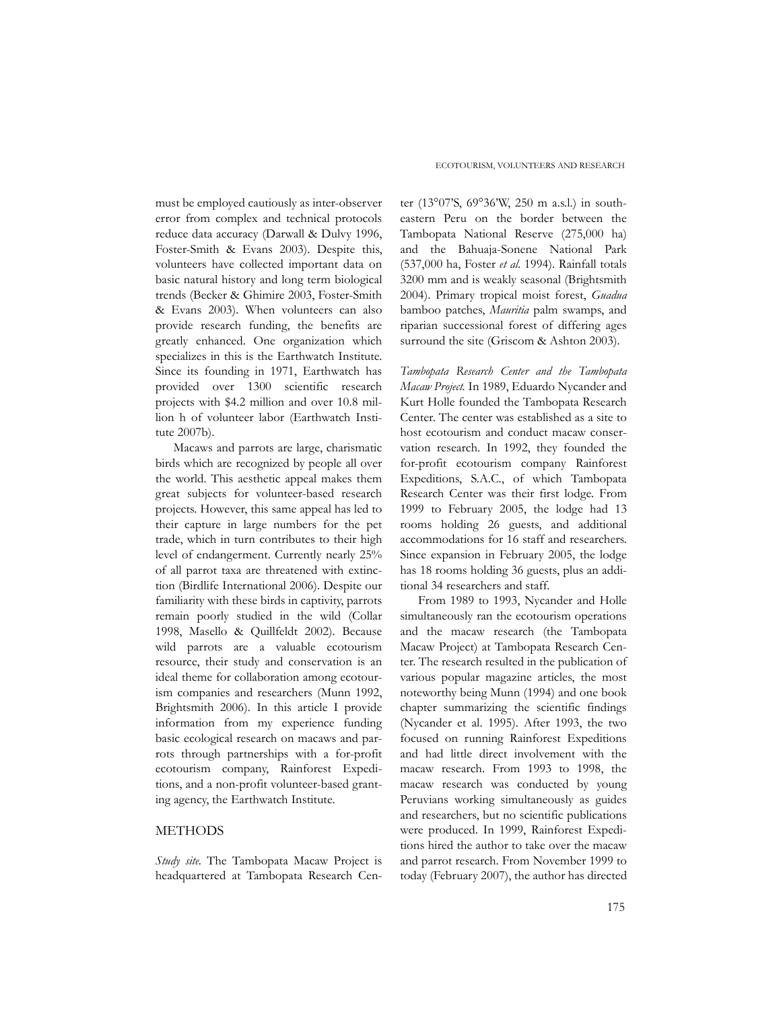must be employed cautiously as inter-observer error from complex and technical protocols reduce data accuracy (Darwall & Dulvy 1996, Foster-Smith & Evans 2003). Despite this, volunteers have collected important data on basic natural history and long term biological trends (Becker & Ghimire 2003, Foster-Smith & Evans 2003). When volunteers can also provide research funding, the benefits are greatly enhanced. One organization which specializes in this is the Earthwatch Institute. Since its founding in 1971, Earthwatch has provided over 1300 scientific research projects with \$4.2 million and over 10.8 million h of volunteer labor (Earthwatch Institute 2007b).

Macaws and parrots are large, charismatic birds which are recognized by people all over the world. This aesthetic appeal makes them great subjects for volunteer-based research projects. However, this same appeal has led to their capture in large numbers for the pet trade, which in turn contributes to their high level of endangerment. Currently nearly 25% of all parrot taxa are threatened with extinction (Birdlife International 2006). Despite our familiarity with these birds in captivity, parrots remain poorly studied in the wild (Collar 1998, Masello & Quillfeldt 2002). Because wild parrots are a valuable ecotourism resource, their study and conservation is an ideal theme for collaboration among ecotourism companies and researchers (Munn 1992, Brightsmith 2006). In this article I provide information from my experience funding basic ecological research on macaws and parrots through partnerships with a for-profit ecotourism company, Rainforest Expeditions, and a non-profit volunteer-based granting agency, the Earthwatch Institute.

## METHODS

*Study site*. The Tambopata Macaw Project is headquartered at Tambopata Research Cen-

ter (13°07'S, 69°36'W, 250 m a.s.l.) in southeastern Peru on the border between the Tambopata National Reserve (275,000 ha) and the Bahuaja-Sonene National Park (537,000 ha, Foster *et al.* 1994). Rainfall totals 3200 mm and is weakly seasonal (Brightsmith 2004). Primary tropical moist forest, *Guadua* bamboo patches, *Mauritia* palm swamps, and riparian successional forest of differing ages surround the site (Griscom & Ashton 2003).

*Tambopata Research Center and the Tambopata Macaw Project.* In 1989, Eduardo Nycander and Kurt Holle founded the Tambopata Research Center. The center was established as a site to host ecotourism and conduct macaw conservation research. In 1992, they founded the for-profit ecotourism company Rainforest Expeditions, S.A.C., of which Tambopata Research Center was their first lodge. From 1999 to February 2005, the lodge had 13 rooms holding 26 guests, and additional accommodations for 16 staff and researchers. Since expansion in February 2005, the lodge has 18 rooms holding 36 guests, plus an additional 34 researchers and staff.

From 1989 to 1993, Nycander and Holle simultaneously ran the ecotourism operations and the macaw research (the Tambopata Macaw Project) at Tambopata Research Center. The research resulted in the publication of various popular magazine articles, the most noteworthy being Munn (1994) and one book chapter summarizing the scientific findings (Nycander et al. 1995). After 1993, the two focused on running Rainforest Expeditions and had little direct involvement with the macaw research. From 1993 to 1998, the macaw research was conducted by young Peruvians working simultaneously as guides and researchers, but no scientific publications were produced. In 1999, Rainforest Expeditions hired the author to take over the macaw and parrot research. From November 1999 to today (February 2007), the author has directed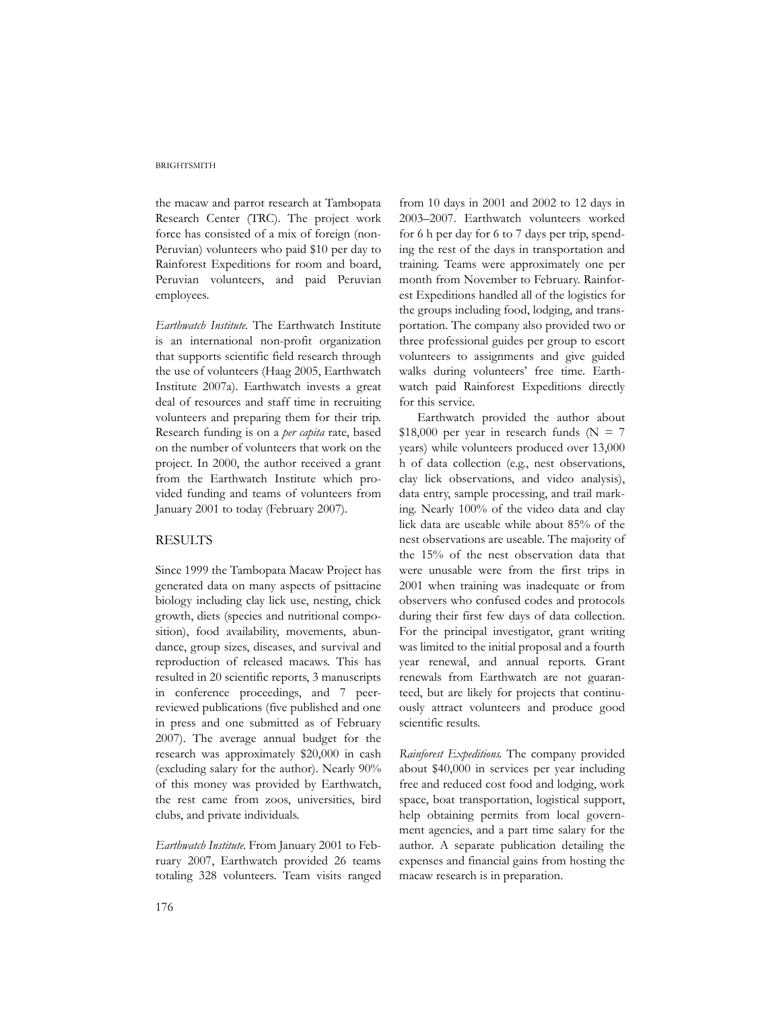#### **BRIGHTSMITH**

the macaw and parrot research at Tambopata Research Center (TRC). The project work force has consisted of a mix of foreign (non-Peruvian) volunteers who paid \$10 per day to Rainforest Expeditions for room and board, Peruvian volunteers, and paid Peruvian employees.

*Earthwatch Institute*. The Earthwatch Institute is an international non-profit organization that supports scientific field research through the use of volunteers (Haag 2005, Earthwatch Institute 2007a). Earthwatch invests a great deal of resources and staff time in recruiting volunteers and preparing them for their trip. Research funding is on a *per capita* rate, based on the number of volunteers that work on the project. In 2000, the author received a grant from the Earthwatch Institute which provided funding and teams of volunteers from January 2001 to today (February 2007).

## RESULTS

Since 1999 the Tambopata Macaw Project has generated data on many aspects of psittacine biology including clay lick use, nesting, chick growth, diets (species and nutritional composition), food availability, movements, abundance, group sizes, diseases, and survival and reproduction of released macaws. This has resulted in 20 scientific reports, 3 manuscripts in conference proceedings, and 7 peerreviewed publications (five published and one in press and one submitted as of February 2007). The average annual budget for the research was approximately \$20,000 in cash (excluding salary for the author). Nearly 90% of this money was provided by Earthwatch, the rest came from zoos, universities, bird clubs, and private individuals.

*Earthwatch Institute*. From January 2001 to February 2007, Earthwatch provided 26 teams totaling 328 volunteers. Team visits ranged from 10 days in 2001 and 2002 to 12 days in 2003–2007. Earthwatch volunteers worked for 6 h per day for 6 to 7 days per trip, spending the rest of the days in transportation and training. Teams were approximately one per month from November to February. Rainforest Expeditions handled all of the logistics for the groups including food, lodging, and transportation. The company also provided two or three professional guides per group to escort volunteers to assignments and give guided walks during volunteers' free time. Earthwatch paid Rainforest Expeditions directly for this service.

Earthwatch provided the author about  $$18,000$  per year in research funds (N = 7 years) while volunteers produced over 13,000 h of data collection (e.g., nest observations, clay lick observations, and video analysis), data entry, sample processing, and trail marking. Nearly 100% of the video data and clay lick data are useable while about 85% of the nest observations are useable. The majority of the 15% of the nest observation data that were unusable were from the first trips in 2001 when training was inadequate or from observers who confused codes and protocols during their first few days of data collection. For the principal investigator, grant writing was limited to the initial proposal and a fourth year renewal, and annual reports. Grant renewals from Earthwatch are not guaranteed, but are likely for projects that continuously attract volunteers and produce good scientific results.

*Rainforest Expeditions*. The company provided about \$40,000 in services per year including free and reduced cost food and lodging, work space, boat transportation, logistical support, help obtaining permits from local government agencies, and a part time salary for the author. A separate publication detailing the expenses and financial gains from hosting the macaw research is in preparation.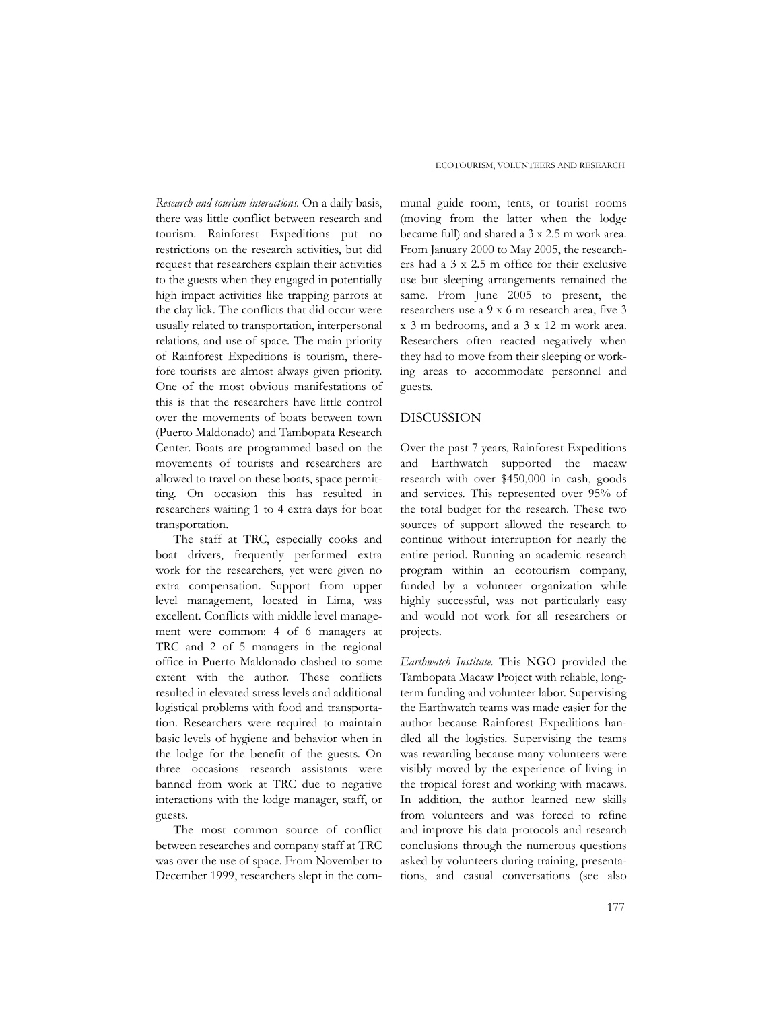*Research and tourism interactions*. On a daily basis, there was little conflict between research and tourism. Rainforest Expeditions put no restrictions on the research activities, but did request that researchers explain their activities to the guests when they engaged in potentially high impact activities like trapping parrots at the clay lick. The conflicts that did occur were usually related to transportation, interpersonal relations, and use of space. The main priority of Rainforest Expeditions is tourism, therefore tourists are almost always given priority. One of the most obvious manifestations of this is that the researchers have little control over the movements of boats between town (Puerto Maldonado) and Tambopata Research Center. Boats are programmed based on the movements of tourists and researchers are allowed to travel on these boats, space permitting. On occasion this has resulted in researchers waiting 1 to 4 extra days for boat transportation.

The staff at TRC, especially cooks and boat drivers, frequently performed extra work for the researchers, yet were given no extra compensation. Support from upper level management, located in Lima, was excellent. Conflicts with middle level management were common: 4 of 6 managers at TRC and 2 of 5 managers in the regional office in Puerto Maldonado clashed to some extent with the author. These conflicts resulted in elevated stress levels and additional logistical problems with food and transportation. Researchers were required to maintain basic levels of hygiene and behavior when in the lodge for the benefit of the guests. On three occasions research assistants were banned from work at TRC due to negative interactions with the lodge manager, staff, or guests.

The most common source of conflict between researches and company staff at TRC was over the use of space. From November to December 1999, researchers slept in the com-

munal guide room, tents, or tourist rooms (moving from the latter when the lodge became full) and shared a 3 x 2.5 m work area. From January 2000 to May 2005, the researchers had a 3 x 2.5 m office for their exclusive use but sleeping arrangements remained the same. From June 2005 to present, the researchers use a 9 x 6 m research area, five 3 x 3 m bedrooms, and a 3 x 12 m work area. Researchers often reacted negatively when they had to move from their sleeping or working areas to accommodate personnel and guests.

### DISCUSSION

Over the past 7 years, Rainforest Expeditions and Earthwatch supported the macaw research with over \$450,000 in cash, goods and services. This represented over 95% of the total budget for the research. These two sources of support allowed the research to continue without interruption for nearly the entire period. Running an academic research program within an ecotourism company, funded by a volunteer organization while highly successful, was not particularly easy and would not work for all researchers or projects.

*Earthwatch Institute.* This NGO provided the Tambopata Macaw Project with reliable, longterm funding and volunteer labor. Supervising the Earthwatch teams was made easier for the author because Rainforest Expeditions handled all the logistics. Supervising the teams was rewarding because many volunteers were visibly moved by the experience of living in the tropical forest and working with macaws. In addition, the author learned new skills from volunteers and was forced to refine and improve his data protocols and research conclusions through the numerous questions asked by volunteers during training, presentations, and casual conversations (see also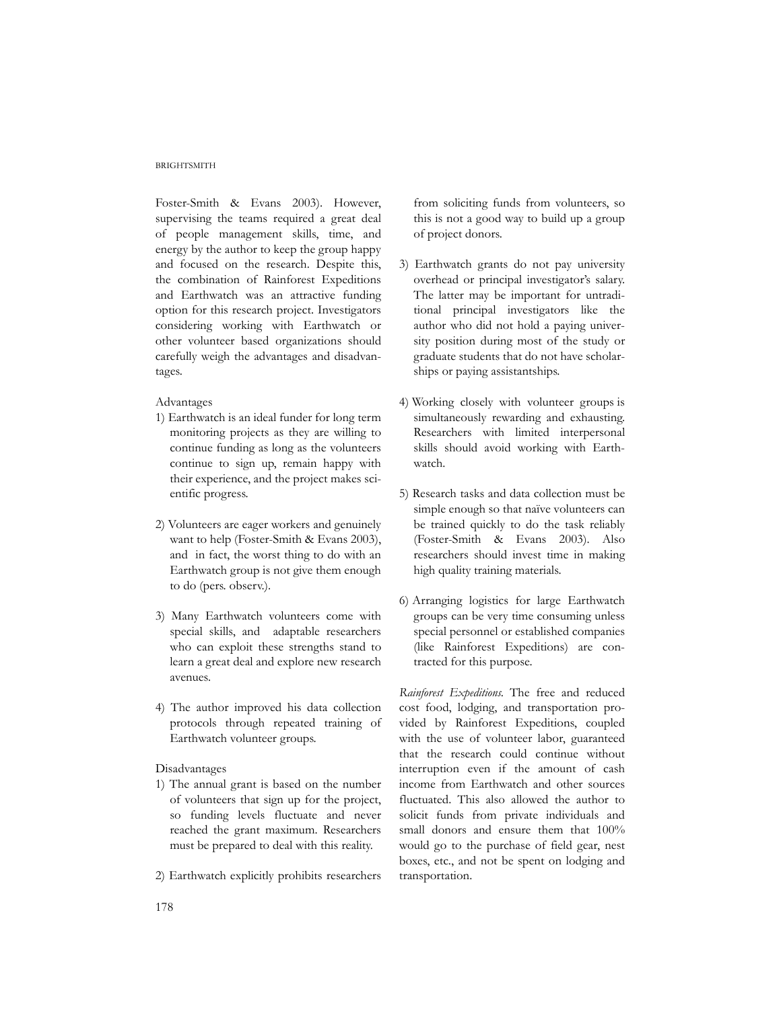## **BRIGHTSMITH**

Foster-Smith & Evans 2003). However, supervising the teams required a great deal of people management skills, time, and energy by the author to keep the group happy and focused on the research. Despite this, the combination of Rainforest Expeditions and Earthwatch was an attractive funding option for this research project. Investigators considering working with Earthwatch or other volunteer based organizations should carefully weigh the advantages and disadvantages.

#### Advantages

- 1) Earthwatch is an ideal funder for long term monitoring projects as they are willing to continue funding as long as the volunteers continue to sign up, remain happy with their experience, and the project makes scientific progress.
- 2) Volunteers are eager workers and genuinely want to help (Foster-Smith & Evans 2003), and in fact, the worst thing to do with an Earthwatch group is not give them enough to do (pers. observ.).
- 3) Many Earthwatch volunteers come with special skills, and adaptable researchers who can exploit these strengths stand to learn a great deal and explore new research avenues.
- 4) The author improved his data collection protocols through repeated training of Earthwatch volunteer groups.

## Disadvantages

- 1) The annual grant is based on the number of volunteers that sign up for the project, so funding levels fluctuate and never reached the grant maximum. Researchers must be prepared to deal with this reality.
- 2) Earthwatch explicitly prohibits researchers

from soliciting funds from volunteers, so this is not a good way to build up a group of project donors.

- 3) Earthwatch grants do not pay university overhead or principal investigator's salary. The latter may be important for untraditional principal investigators like the author who did not hold a paying university position during most of the study or graduate students that do not have scholarships or paying assistantships.
- 4) Working closely with volunteer groups is simultaneously rewarding and exhausting. Researchers with limited interpersonal skills should avoid working with Earthwatch.
- 5) Research tasks and data collection must be simple enough so that naïve volunteers can be trained quickly to do the task reliably (Foster-Smith & Evans 2003). Also researchers should invest time in making high quality training materials.
- 6) Arranging logistics for large Earthwatch groups can be very time consuming unless special personnel or established companies (like Rainforest Expeditions) are contracted for this purpose.

*Rainforest Expeditions*. The free and reduced cost food, lodging, and transportation provided by Rainforest Expeditions, coupled with the use of volunteer labor, guaranteed that the research could continue without interruption even if the amount of cash income from Earthwatch and other sources fluctuated. This also allowed the author to solicit funds from private individuals and small donors and ensure them that 100% would go to the purchase of field gear, nest boxes, etc., and not be spent on lodging and transportation.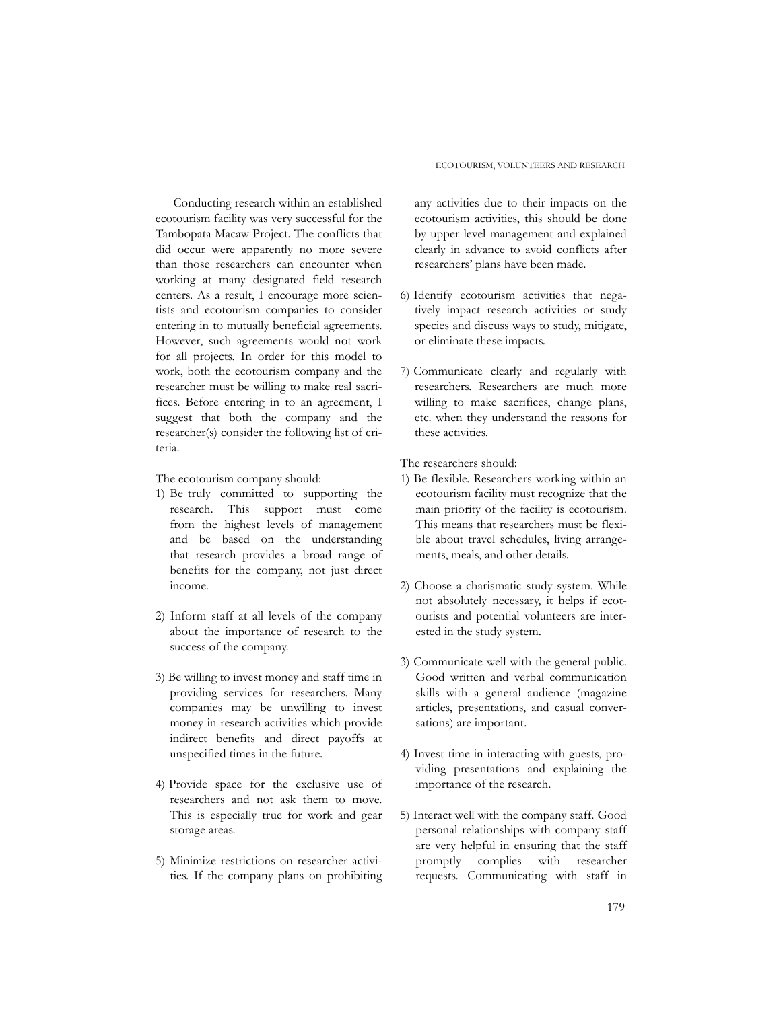Conducting research within an established ecotourism facility was very successful for the Tambopata Macaw Project. The conflicts that did occur were apparently no more severe than those researchers can encounter when working at many designated field research centers. As a result, I encourage more scientists and ecotourism companies to consider entering in to mutually beneficial agreements. However, such agreements would not work for all projects. In order for this model to work, both the ecotourism company and the researcher must be willing to make real sacrifices. Before entering in to an agreement, I suggest that both the company and the researcher(s) consider the following list of criteria.

The ecotourism company should:

- 1) Be truly committed to supporting the research. This support must come from the highest levels of management and be based on the understanding that research provides a broad range of benefits for the company, not just direct income.
- 2) Inform staff at all levels of the company about the importance of research to the success of the company.
- 3) Be willing to invest money and staff time in providing services for researchers. Many companies may be unwilling to invest money in research activities which provide indirect benefits and direct payoffs at unspecified times in the future.
- 4) Provide space for the exclusive use of researchers and not ask them to move. This is especially true for work and gear storage areas.
- 5) Minimize restrictions on researcher activities. If the company plans on prohibiting

any activities due to their impacts on the ecotourism activities, this should be done by upper level management and explained clearly in advance to avoid conflicts after researchers' plans have been made.

- 6) Identify ecotourism activities that negatively impact research activities or study species and discuss ways to study, mitigate, or eliminate these impacts.
- 7) Communicate clearly and regularly with researchers. Researchers are much more willing to make sacrifices, change plans, etc. when they understand the reasons for these activities.

The researchers should:

- 1) Be flexible. Researchers working within an ecotourism facility must recognize that the main priority of the facility is ecotourism. This means that researchers must be flexible about travel schedules, living arrangements, meals, and other details.
- 2) Choose a charismatic study system. While not absolutely necessary, it helps if ecotourists and potential volunteers are interested in the study system.
- 3) Communicate well with the general public. Good written and verbal communication skills with a general audience (magazine articles, presentations, and casual conversations) are important.
- 4) Invest time in interacting with guests, providing presentations and explaining the importance of the research.
- 5) Interact well with the company staff. Good personal relationships with company staff are very helpful in ensuring that the staff promptly complies with researcher requests. Communicating with staff in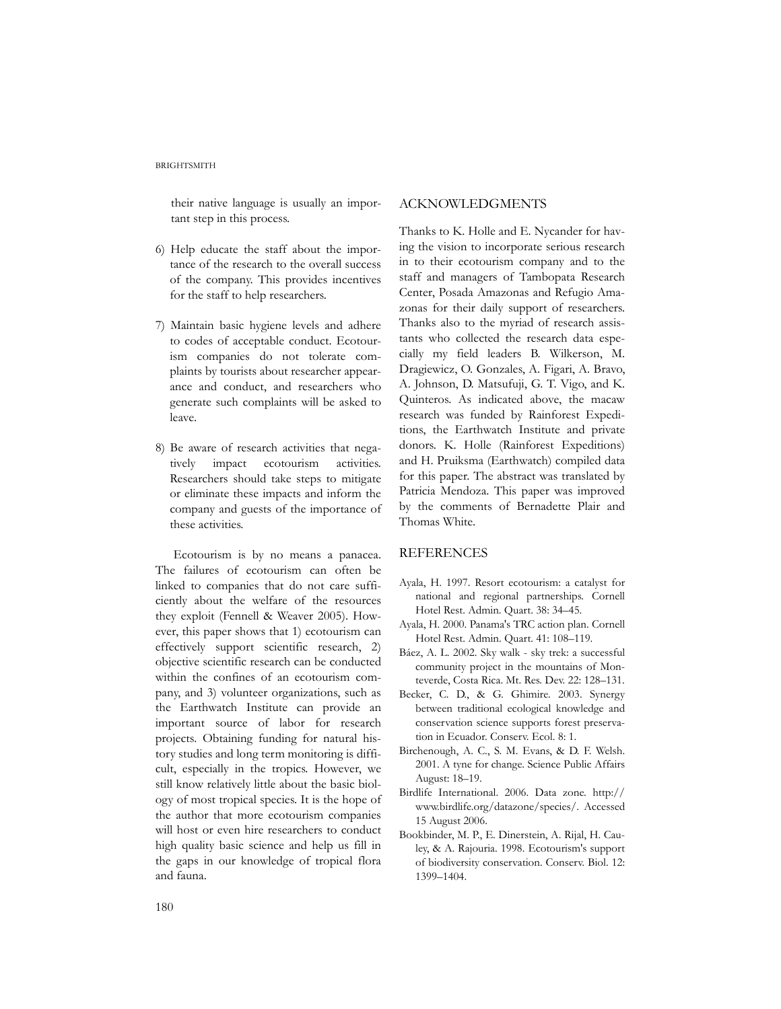their native language is usually an important step in this process.

- 6) Help educate the staff about the importance of the research to the overall success of the company. This provides incentives for the staff to help researchers.
- 7) Maintain basic hygiene levels and adhere to codes of acceptable conduct. Ecotourism companies do not tolerate complaints by tourists about researcher appearance and conduct, and researchers who generate such complaints will be asked to leave.
- 8) Be aware of research activities that negatively impact ecotourism activities. Researchers should take steps to mitigate or eliminate these impacts and inform the company and guests of the importance of these activities.

Ecotourism is by no means a panacea. The failures of ecotourism can often be linked to companies that do not care sufficiently about the welfare of the resources they exploit (Fennell & Weaver 2005). However, this paper shows that 1) ecotourism can effectively support scientific research, 2) objective scientific research can be conducted within the confines of an ecotourism company, and 3) volunteer organizations, such as the Earthwatch Institute can provide an important source of labor for research projects. Obtaining funding for natural history studies and long term monitoring is difficult, especially in the tropics. However, we still know relatively little about the basic biology of most tropical species. It is the hope of the author that more ecotourism companies will host or even hire researchers to conduct high quality basic science and help us fill in the gaps in our knowledge of tropical flora and fauna.

## ACKNOWLEDGMENTS

Thanks to K. Holle and E. Nycander for having the vision to incorporate serious research in to their ecotourism company and to the staff and managers of Tambopata Research Center, Posada Amazonas and Refugio Amazonas for their daily support of researchers. Thanks also to the myriad of research assistants who collected the research data especially my field leaders B. Wilkerson, M. Dragiewicz, O. Gonzales, A. Figari, A. Bravo, A. Johnson, D. Matsufuji, G. T. Vigo, and K. Quinteros. As indicated above, the macaw research was funded by Rainforest Expeditions, the Earthwatch Institute and private donors. K. Holle (Rainforest Expeditions) and H. Pruiksma (Earthwatch) compiled data for this paper. The abstract was translated by Patricia Mendoza. This paper was improved by the comments of Bernadette Plair and Thomas White.

# **REFERENCES**

- Ayala, H. 1997. Resort ecotourism: a catalyst for national and regional partnerships. Cornell Hotel Rest. Admin. Quart. 38: 34–45.
- Ayala, H. 2000. Panama's TRC action plan. Cornell Hotel Rest. Admin. Quart. 41: 108–119.
- Báez, A. L. 2002. Sky walk sky trek: a successful community project in the mountains of Monteverde, Costa Rica. Mt. Res. Dev. 22: 128–131.
- Becker, C. D., & G. Ghimire. 2003. Synergy between traditional ecological knowledge and conservation science supports forest preservation in Ecuador. Conserv. Ecol. 8: 1.
- Birchenough, A. C., S. M. Evans, & D. F. Welsh. 2001. A tyne for change. Science Public Affairs August: 18–19.
- Birdlife International. 2006. Data zone. http:// www.birdlife.org/datazone/species/. Accessed 15 August 2006.
- Bookbinder, M. P., E. Dinerstein, A. Rijal, H. Cauley, & A. Rajouria. 1998. Ecotourism's support of biodiversity conservation. Conserv. Biol. 12: 1399–1404.